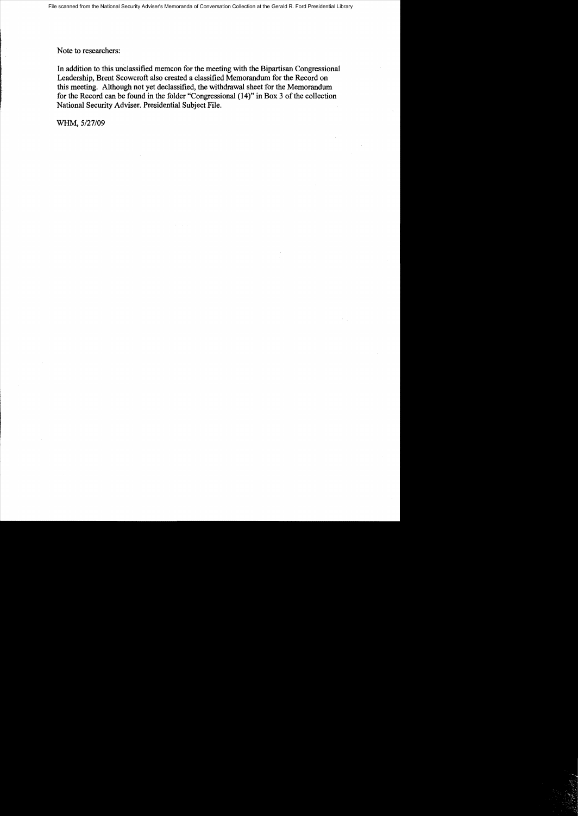Note to researchers:

In addition to this unclassified memcon for the meeting with the Bipartisan Congressional Leadership, Brent Scowcroft also created a classified Memorandum for the Record on this meeting. Although not yet declassified, the withdrawal sheet for the Memorandum for the Record can be found in the folder "Congressional (14)" in Box 3 of the collection National Security Adviser. Presidential Subject File.

WHM, *5/27/09*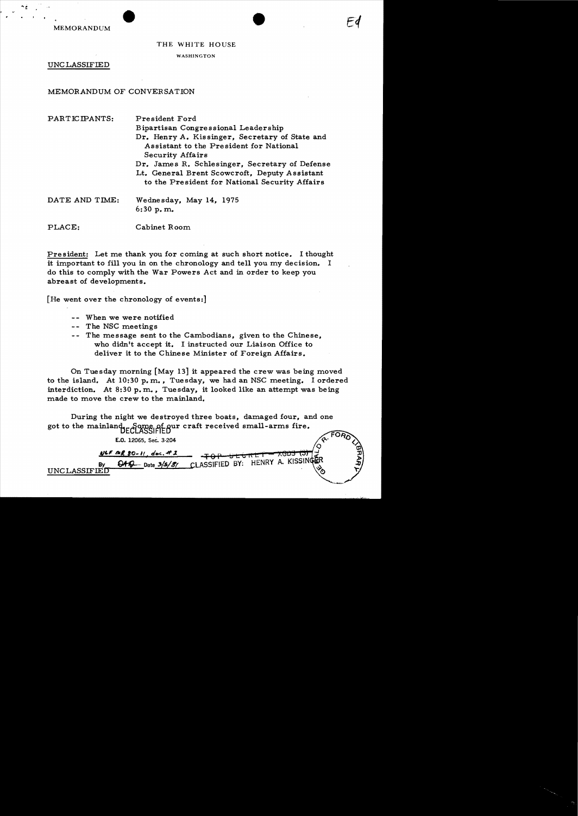MEMORANDUM

## THE WHITE HOUSE

WASHINGTON

UNC LASSIFIED

# MEMORANDUM OF CONVERSATION

| PARTICIPANTS:  | President Ford                                                                                                                                    |
|----------------|---------------------------------------------------------------------------------------------------------------------------------------------------|
|                | Bipartisan Congressional Leadership                                                                                                               |
|                | Dr. Henry A. Kissinger, Secretary of State and<br>Assistant to the President for National<br><b>Security Affairs</b>                              |
|                | Dr. James R. Schlesinger, Secretary of Defense<br>Lt. General Brent Scowcroft, Deputy Assistant<br>to the President for National Security Affairs |
| DATE AND TIME: | Wednesday, May 14, 1975<br>$6:30$ p.m.                                                                                                            |
| PLACE:         | Cabinet Room                                                                                                                                      |

President: Let me thank you for coming at such short notice. I thought it important to fill you in on the chronology and tell you my decision. I do this to comply with the War Powers Act and in order to keep you abreast of developments.

[He went over the chronology of events:]

- When we were notified
- -- The NSC meetings
- -- The message sent to the Cambodians. given to the Chinese. who didn't accept it. I instructed our Liaison Office to deliver it to the Chinese Minister of Foreign Affairs.

On Tuesday morning [May 13] it appeared the crew was being moved to the island. At  $10:30$  p.m., Tuesday, we had an NSC meeting. I ordered interdiction. At  $8:30$  p.m., Tuesday, it looked like an attempt was being made to move the crew to the mainland.

During the night we destroyed three boats, damaged four, and one got to the mainland EGome of our craft received small-arms fire.

E.O. 12065, Sec. 3-204

*11" "/l '0..* 1{ , tI.r. . *.If.z.*  <del>7603 (3)</del>  $\frac{B_1 + B_2 - B_1}{B_1 + B_2 - B_2}$   $\frac{B_2 + B_2 - B_1}{B_2 + B_2 - B_2}$   $\frac{B_1 + B_2 - B_2}{B_1 + B_2 - B_2}$   $\frac{B_2 + B_2 - B_2}{B_1 + B_2 - B_2}$   $\frac{B_1 + B_2 - B_2}{B_1 + B_2 - B_2}$   $\frac{B_2 + B_2 - B_2}{B_2 + B_2 - B_2}$   $\frac{B_1 + B_2 - B_2}{B_1 + B_2 - B_2}$ UNCLASSIFIED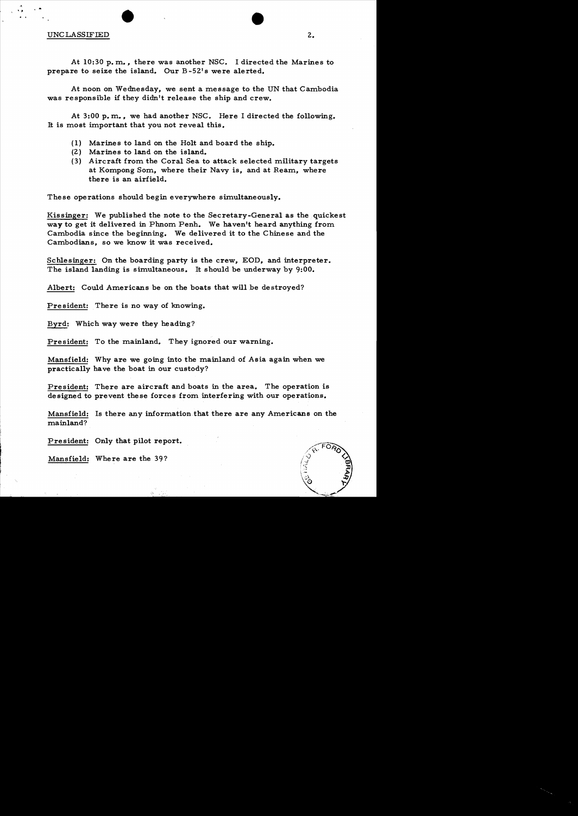#### UNC LASSIFIED

• A

At 10:30 p. m.., there was another NSC. I directed the Marines to prepare to seize the island. Our B-52's were alerted.

At noon on Wednesday, we sent a message to the UN that Cambodia was responsible if they didn't release the ship and crew.

At 3:00 p. m.., we had another NSC. Here I directed the following. It is most important that you not reveal this.

- (1) Marines to land on the Holt and board the ship.
- (2) Marines to land on the island.

•

(3) Aircraft from the Coral Sea to attack selected military targets at Kompong Som, where their Navy is, and at Ream, where there is an airfield.

These operations should begin everywhere simultaneously.

Kissinger: We published the note to the Secretary-General as the quickest way to get it delivered in Phnom. Penh. We haven't heard anything from. Cambodia since the beginning. We delivered it to the Chinese and the Cambodians, so we know it was received.

Schlesinger: On the boarding party is the crew, EOD, and interpreter. The island landing is simultaneous. It should be underway by  $9:00$ .

Albert: Could Americans be on the boats that will be destroyed?

President: There is no way of knowing.

Byrd: Which way were they heading?

President: To the mainland. They ignored our warning.

Mansfield: Why are we going into the mainland of Asia again when we practically have the boat in our custody?

President: There are aircraft and boats in the area. The operation is designed to prevent these forces from interfering with our operations.

Mansfield: Is there any information that there are any Americans on the mainland?

President: Only that pilot report.

Mansfield: Where are the 39?



2.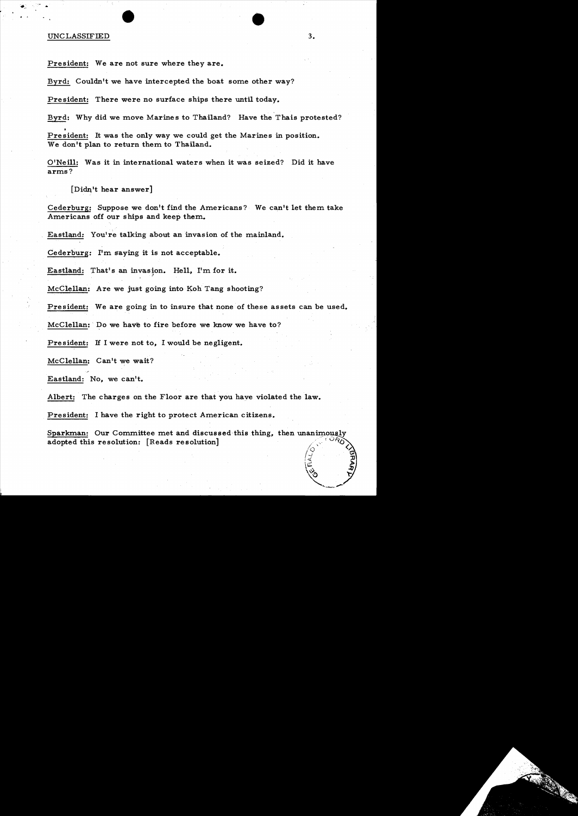### UNCLASSIFIED 3.

President: We are not sure where they are.

Byrd: Couldn't we have intercepted the boat some other way?

President: There were no surface ships there until today.

Byrd: Why did we move Marines to Thailand? Have the Thais protested?

President: It was the only way we could get the Marines in position. We don't plan to return them to Thailand.

O'Neill: Was it in international waters when it was seized? Did it have arms?

 $\lceil$ Didn't hear answer]

Cederburg: Suppose we don't find the Americans? We can't let them take Americans off our ships and keep them.

Eastland: You're talking about an invasion of the mainland.

Gederburg: I'm. gaying it is not acceptable.

Eastland: That's an invasion. Hell, I'm for it.

McClellan: Are we just going into Koh Tang shooting?

President: We are going in to insure that none of these assets can be used.

 $McClellan;$  Do we have to fire before we know we have to?

President: H I were not to, I would be negligent.

McClellan: Can't we wait?

Eastland: No, we can't.

Albert: The charges on the Floor are that you have violated the law.

President: I have the right to protect American citizens.

Sparkman: Our Committee met and discussed this thing, adopted this resolution: [Reads resolution]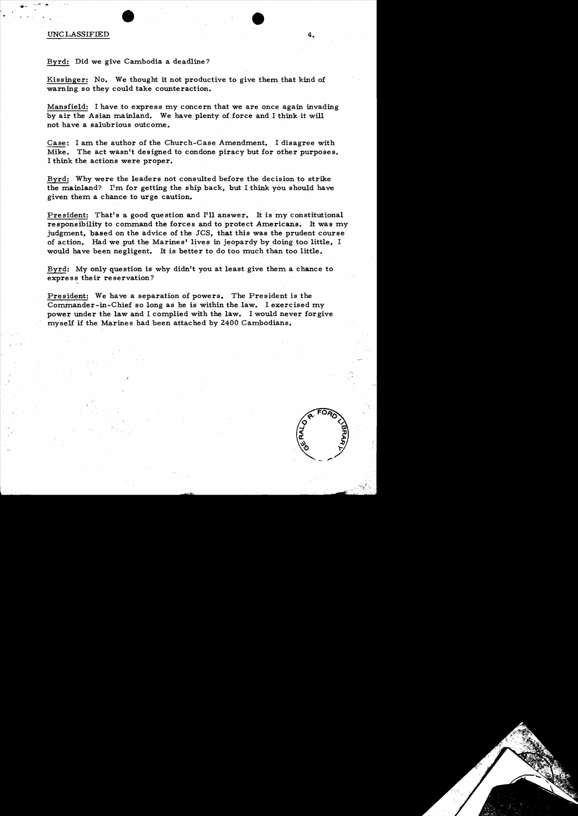## UNCLASSIFIED 4.

,.

Byrd: Did we give Cambodia a deadline?

Kissinger: No. We thought it not productive to give them that kind of warning so they could take counteraction.

Mansfield: I have to express my concern that we are once again invading by air the Asian mainland. We have plenty of force and I think it will not have a salubrious outcome.

Case: I am the author of the Church-Case Amendment. I disagree with Mike. The act wasn't designed to condone piracy but for other purposes. I think the actions were proper.

Byrd: Why were the leaders not consulted before the decision to strike the mainland? I'm for getting the ship back, but I think you should have given them a chance to urge caution.

President: That's a good question and I'll answer. It is my constitutional responsibility to command the forces and to protect Americans. It was my judgment, based on the advice of the JCS, that this was the prudent course of action. Had we put the Marines' lives in jeopardy by doing too little, I would have been negligent. It is better to do too much than too little.

Byrd: My only question is why didn't you at least give them a chance to express their reservation?

President: We have a separation of powers. The President is the Commander-in-Chief so long as he is within the law. I exercised my power under the law and I complied with the law. I would never forgive myself if the Marines had been attached by 2400 Cambodians.

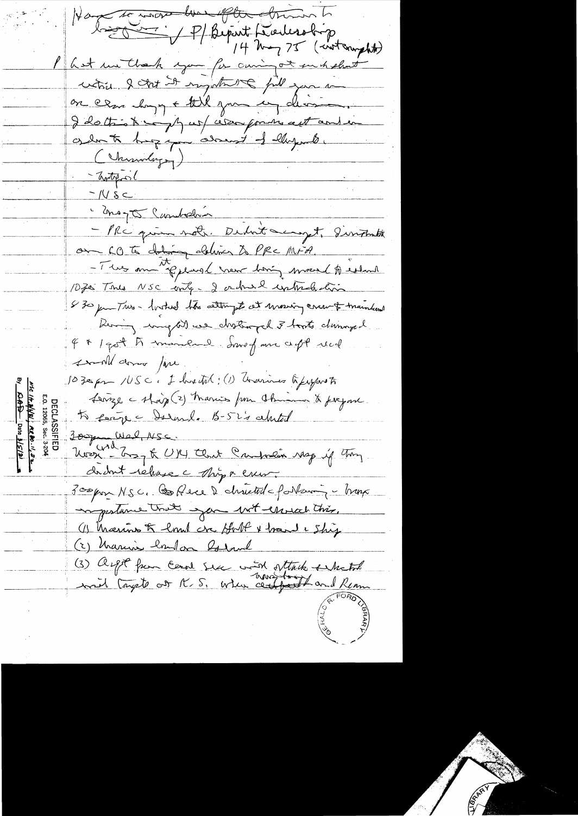to the work the other of P/Beport Liedersbirg<br>14 May 75 (contempt) I hat we thank you for carring at such short which I stat it ingitate fill you to on era change til june en division I dott is to many us assorptions automation get to hop a comment of largester (Chimodogy) - Trotopol  $-1080$ i mago Cumbelin - PRC quin not. Debut accopt, sintents on 60 to dating deliver to PRC MFA. - This am the plane leven bong moved to estand 1070 Tous NSC enter 2 ordnes untrehation I 30 pm Trus - locked the altempt at mosing crew & maintend Dering my We drothinged 3 touts duringed 4 \* 1 port to mandand donne pour ce pt real small dome fire. 1030 pm /USC, I hadted; (1) Grammes Guyaroto Lenze - shap (2) Maries from Chimne & fregan. 5 fevre Darnl. B-52's child Sec. <del>2007 Wed NSC.</del><br>Noon - Boy & UKY that Campolin rasp if they dednt rehase c Nigo ener. 300 pm NSC, Coffere 2 christist forteming - trap importance trats you wit ensuit this. (1) Marino & low cre Art + hand & Ship (2) Marine hand on Robert (3) argot from Ceral six with withits school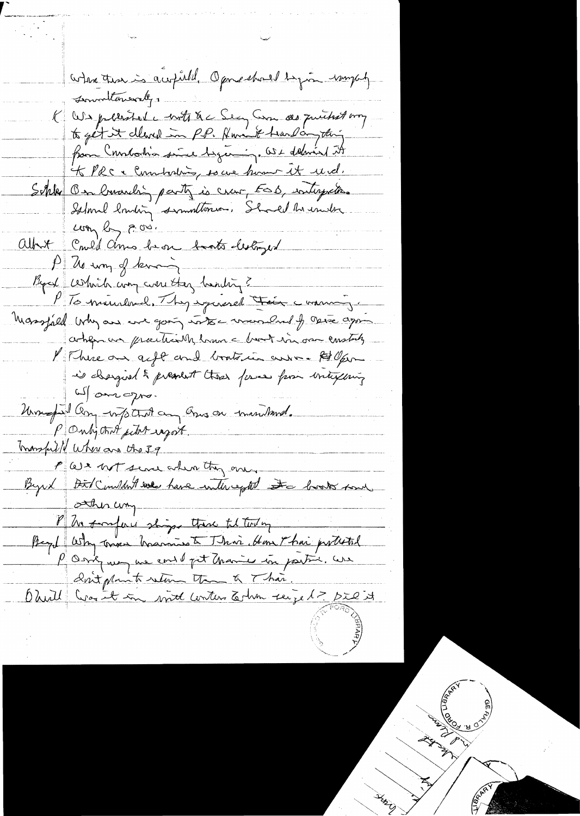where there is a which Operatored by in myself sommatement, K We pliated contract Sec Com de quitest my from Constantin since beginning. Ost delavial it KVRC & Constations, soure home et und. Schlee Ban brunching party is crave, ESD, interpretis. Island lowing smallenes. Should be under com by p.o. Albert Come'd Amo be on took lestryed P de un of knowing Bycol certain comparent they trending? PTS mundered. They experienced their comming. Massfald why are we going into marshal of these ago achences prenticilly have bot in our enstaly l'Ihreau aft and boots in anne \$80 pm is chargied & pressiont these first from intexting al omogno. United any wife that any Ones on tomouthwell. PO why that site raport. monsfulle where are the 39 P We not sever when they are Byrd Birl Complant we have intercepted to book some sthis comp Ph tompare shops there til today Begel Why tower hadrings to This Home Thai protected P Onk was une end of it than is in partir. We Don't plant return than & Than. Ohull Croit in mil conten todan seize 1 - Die it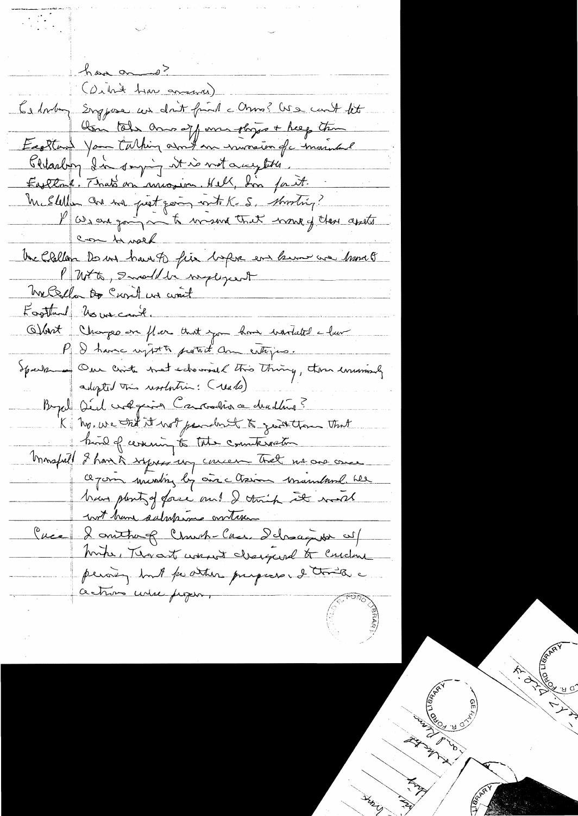have and? (Orbit has avanced) to lording Englase un dait from a Onno? We cont let Am tels ans off me shyps + help the Eaghtant Your Carthing and me immacion of marinhand thelasting In surging it is not a wegtetter. Eastland. That's on mission. Hell, Lon fait. Me Stellen avenue pret going with K.S. shooting? Pasangain to many that work of these assits en tensel the Challan De us have to fire before en know are home of Putto, Smald be negligedt me Bella De Curil un cont Footband No we can't. Obart Changes on flar that you have wartated a law P I have upt to potent am entique. Speck Cre Crite that schoonsal this thing, then immunity. adopted this resolution: (reals) Beyal Déed volgerin Caronina de drading? K hy, we told it not pendent to generation that how of cereming to the counterorder Monspiel 2 have à syres un concern tret no one once ce pour munting by an chairm manufund her han plenty of force and I think it would wit have subspire ontext. Cuca & omthough Church-Case Ichaques cul Mother, Thorast worked changed to Curdon pering but pointer propose. I traite a actions unse proper